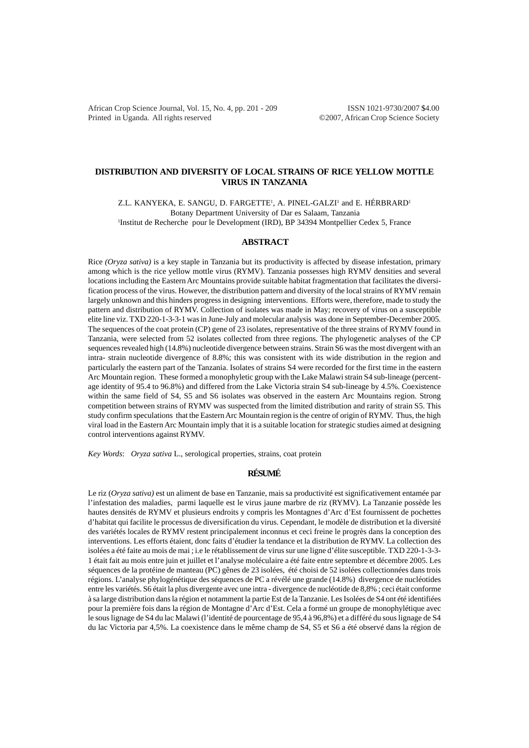African Crop Science Journal, Vol. 15, No. 4, pp. 201 - 209 ISSN 1021-9730/2007 \$4.00 Printed in Uganda. All rights reserved ©2007, African Crop Science Society

# **DISTRIBUTION AND DIVERSITY OF LOCAL STRAINS OF RICE YELLOW MOTTLE VIRUS IN TANZANIA**

Z.L. KANYEKA, E. SANGU, D. FARGETTE<sup>1</sup>, A. PINEL-GALZI<sup>1</sup> and E. HÉRBRARD<sup>1</sup> Botany Department University of Dar es Salaam, Tanzania 1 Institut de Recherche pour le Development (IRD), BP 34394 Montpellier Cedex 5, France

## **ABSTRACT**

Rice *(Oryza sativa)* is a key staple in Tanzania but its productivity is affected by disease infestation, primary among which is the rice yellow mottle virus (RYMV). Tanzania possesses high RYMV densities and several locations including the Eastern Arc Mountains provide suitable habitat fragmentation that facilitates the diversification process of the virus. However, the distribution pattern and diversity of the local strains of RYMV remain largely unknown and this hinders progress in designing interventions. Efforts were, therefore, made to study the pattern and distribution of RYMV. Collection of isolates was made in May; recovery of virus on a susceptible elite line viz. TXD 220-1-3-3-1 was in June-July and molecular analysis was done in September-December 2005. The sequences of the coat protein (CP) gene of 23 isolates, representative of the three strains of RYMV found in Tanzania, were selected from 52 isolates collected from three regions. The phylogenetic analyses of the CP sequences revealed high (14.8%) nucleotide divergence between strains. Strain S6 was the most divergent with an intra- strain nucleotide divergence of 8.8%; this was consistent with its wide distribution in the region and particularly the eastern part of the Tanzania. Isolates of strains S4 were recorded for the first time in the eastern Arc Mountain region. These formed a monophyletic group with the Lake Malawi strain S4 sub-lineage (percentage identity of 95.4 to 96.8%) and differed from the Lake Victoria strain S4 sub-lineage by 4.5%. Coexistence within the same field of S4, S5 and S6 isolates was observed in the eastern Arc Mountains region. Strong competition between strains of RYMV was suspected from the limited distribution and rarity of strain S5. This study confirm speculations that the Eastern Arc Mountain region is the centre of origin of RYMV. Thus, the high viral load in the Eastern Arc Mountain imply that it is a suitable location for strategic studies aimed at designing control interventions against RYMV.

*Key Words*: *Oryza sativa* L., serological properties, strains, coat protein

# **RÉSUMÉ**

Le riz (*Oryza sativa)* est un aliment de base en Tanzanie, mais sa productivité est significativement entamée par l'infestation des maladies, parmi laquelle est le virus jaune marbre de riz (RYMV). La Tanzanie possède les hautes densités de RYMV et plusieurs endroits y compris les Montagnes d'Arc d'Est fournissent de pochettes d'habitat qui facilite le processus de diversification du virus. Cependant, le modèle de distribution et la diversité des variétés locales de RYMV restent principalement inconnus et ceci freine le progrès dans la conception des interventions. Les efforts étaient, donc faits d'étudier la tendance et la distribution de RYMV. La collection des isolées a été faite au mois de mai ; i.e le rétablissement de virus sur une ligne d'élite susceptible. TXD 220-1-3-3- 1 était fait au mois entre juin et juillet et l'analyse moléculaire a été faite entre septembre et décembre 2005. Les séquences de la protéine de manteau (PC) gênes de 23 isolées, été choisi de 52 isolées collectionnées dans trois régions. L'analyse phylogénétique des séquences de PC a révélé une grande (14.8%) divergence de nucléotides entre les variétés. S6 était la plus divergente avec une intra - divergence de nucléotide de 8,8% ; ceci était conforme à sa large distribution dans la région et notamment la partie Est de la Tanzanie. Les Isolées de S4 ont été identifiées pour la première fois dans la région de Montagne d'Arc d'Est. Cela a formé un groupe de monophylétique avec le sous lignage de S4 du lac Malawi (l'identité de pourcentage de 95,4 à 96,8%) et a différé du sous lignage de S4 du lac Victoria par 4,5%. La coexistence dans le même champ de S4, S5 et S6 a été observé dans la région de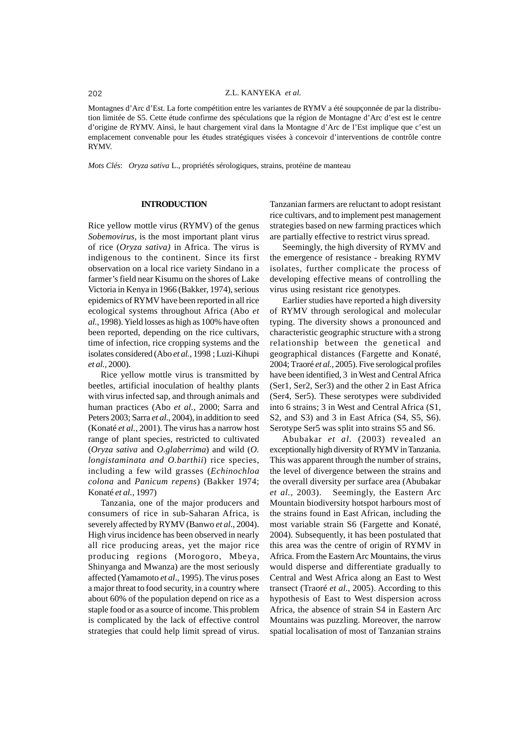Montagnes d'Arc d'Est. La forte compétition entre les variantes de RYMV a été soupçonnée de par la distribution limitée de S5. Cette étude confirme des spéculations que la région de Montagne d'Arc d'est est le centre d'origine de RYMV. Ainsi, le haut chargement viral dans la Montagne d'Arc de l'Est implique que c'est un emplacement convenable pour les études stratégiques visées à concevoir d'interventions de contrôle contre RYMV.

*Mots Clés*: *Oryza sativa* L., propriétés sérologiques, strains, protéine de manteau

### **INTRODUCTION**

Rice yellow mottle virus (RYMV) of the genus *Sobemovirus,* is the most important plant virus of rice (*Oryza sativa)* in Africa. The virus is indigenous to the continent. Since its first observation on a local rice variety Sindano in a farmer's field near Kisumu on the shores of Lake Victoria in Kenya in 1966 (Bakker, 1974), serious epidemics of RYMV have been reported in all rice ecological systems throughout Africa (Abo *et al.*, 1998). Yield losses as high as 100% have often been reported, depending on the rice cultivars, time of infection, rice cropping systems and the isolates considered (Abo *et al.*, 1998 ; Luzi-Kihupi *et al.,* 2000).

Rice yellow mottle virus is transmitted by beetles, artificial inoculation of healthy plants with virus infected sap, and through animals and human practices (Abo *et al.,* 2000; Sarra and Peters 2003; Sarra *et al*., 2004), in addition to seed (Konaté *et al.,* 2001). The virus has a narrow host range of plant species, restricted to cultivated (*Oryza sativa* and *O.glaberrima*) and wild (*O. longistaminata and O.barthii*) rice species, including a few wild grasses (*Echinochloa colona* and *Panicum repens*) (Bakker 1974; Konaté *et al.*, 1997)

Tanzania, one of the major producers and consumers of rice in sub-Saharan Africa, is severely affected by RYMV (Banwo *et al*., 2004). High virus incidence has been observed in nearly all rice producing areas, yet the major rice producing regions (Morogoro, Mbeya, Shinyanga and Mwanza) are the most seriously affected (Yamamoto *et al*., 1995). The virus poses a major threat to food security, in a country where about 60% of the population depend on rice as a staple food or as a source of income. This problem is complicated by the lack of effective control strategies that could help limit spread of virus.

Tanzanian farmers are reluctant to adopt resistant rice cultivars, and to implement pest management strategies based on new farming practices which are partially effective to restrict virus spread.

Seemingly, the high diversity of RYMV and the emergence of resistance - breaking RYMV isolates, further complicate the process of developing effective means of controlling the virus using resistant rice genotypes.

Earlier studies have reported a high diversity of RYMV through serological and molecular typing. The diversity shows a pronounced and characteristic geographic structure with a strong relationship between the genetical and geographical distances (Fargette and Konaté, 2004; Traoré *et al.*, 2005). Five serological profiles have been identified, 3 in West and Central Africa (Ser1, Ser2, Ser3) and the other 2 in East Africa (Ser4, Ser5). These serotypes were subdivided into 6 strains; 3 in West and Central Africa (S1, S2, and S3) and 3 in East Africa (S4, S5, S6). Serotype Ser5 was split into strains S5 and S6.

Abubakar *et al.* (2003) revealed an exceptionally high diversity of RYMV in Tanzania. This was apparent through the number of strains, the level of divergence between the strains and the overall diversity per surface area (Abubakar *et al.,* 2003). Seemingly, the Eastern Arc Mountain biodiversity hotspot harbours most of the strains found in East African, including the most variable strain S6 (Fargette and Konaté, 2004). Subsequently, it has been postulated that this area was the centre of origin of RYMV in Africa. From the Eastern Arc Mountains, the virus would disperse and differentiate gradually to Central and West Africa along an East to West transect (Traoré *et al*., 2005). According to this hypothesis of East to West dispersion across Africa, the absence of strain S4 in Eastern Arc Mountains was puzzling. Moreover, the narrow spatial localisation of most of Tanzanian strains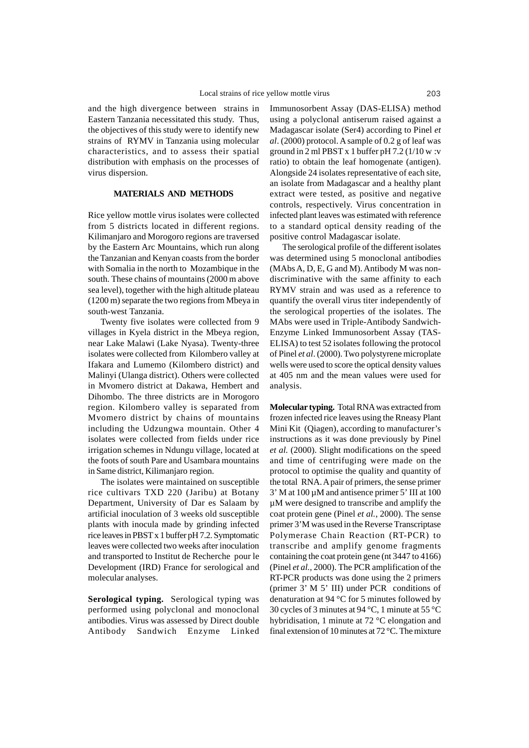and the high divergence between strains in Eastern Tanzania necessitated this study. Thus, the objectives of this study were to identify new strains of RYMV in Tanzania using molecular characteristics, and to assess their spatial distribution with emphasis on the processes of virus dispersion.

### **MATERIALS AND METHODS**

Rice yellow mottle virus isolates were collected from 5 districts located in different regions. Kilimanjaro and Morogoro regions are traversed by the Eastern Arc Mountains, which run along the Tanzanian and Kenyan coasts from the border with Somalia in the north to Mozambique in the south. These chains of mountains (2000 m above sea level), together with the high altitude plateau (1200 m) separate the two regions from Mbeya in south-west Tanzania.

Twenty five isolates were collected from 9 villages in Kyela district in the Mbeya region, near Lake Malawi (Lake Nyasa). Twenty-three isolates were collected from Kilombero valley at Ifakara and Lumemo (Kilombero district) and Malinyi (Ulanga district). Others were collected in Mvomero district at Dakawa, Hembert and Dihombo. The three districts are in Morogoro region. Kilombero valley is separated from Mvomero district by chains of mountains including the Udzungwa mountain. Other 4 isolates were collected from fields under rice irrigation schemes in Ndungu village, located at the foots of south Pare and Usambara mountains in Same district, Kilimanjaro region.

The isolates were maintained on susceptible rice cultivars TXD 220 (Jaribu) at Botany Department, University of Dar es Salaam by artificial inoculation of 3 weeks old susceptible plants with inocula made by grinding infected rice leaves in PBST x 1 buffer pH 7.2. Symptomatic leaves were collected two weeks after inoculation and transported to Institut de Recherche pour le Development (IRD) France for serological and molecular analyses.

**Serological typing.** Serological typing was performed using polyclonal and monoclonal antibodies. Virus was assessed by Direct double Antibody Sandwich Enzyme Linked

Immunosorbent Assay (DAS-ELISA) method using a polyclonal antiserum raised against a Madagascar isolate (Ser4) according to Pinel *et al*. (2000) protocol. A sample of 0.2 g of leaf was ground in 2 ml PBST x 1 buffer pH  $7.2$  ( $1/10$  w :v ratio) to obtain the leaf homogenate (antigen). Alongside 24 isolates representative of each site, an isolate from Madagascar and a healthy plant extract were tested, as positive and negative controls, respectively. Virus concentration in infected plant leaves was estimated with reference to a standard optical density reading of the positive control Madagascar isolate.

The serological profile of the different isolates was determined using 5 monoclonal antibodies (MAbs A, D, E, G and M). Antibody M was nondiscriminative with the same affinity to each RYMV strain and was used as a reference to quantify the overall virus titer independently of the serological properties of the isolates. The MAbs were used in Triple-Antibody Sandwich-Enzyme Linked Immunosorbent Assay (TAS-ELISA) to test 52 isolates following the protocol of Pinel *et al*. (2000). Two polystyrene microplate wells were used to score the optical density values at 405 nm and the mean values were used for analysis.

**Molecular typing.** Total RNA was extracted from frozen infected rice leaves using the Rneasy Plant Mini Kit (Qiagen), according to manufacturer's instructions as it was done previously by Pinel *et al.* (2000). Slight modifications on the speed and time of centrifuging were made on the protocol to optimise the quality and quantity of the total RNA. A pair of primers, the sense primer  $3'$  M at 100  $\mu$ M and antisence primer 5' III at 100 µM were designed to transcribe and amplify the coat protein gene (Pinel *et al.*, 2000). The sense primer 3'M was used in the Reverse Transcriptase Polymerase Chain Reaction (RT-PCR) to transcribe and amplify genome fragments containing the coat protein gene (nt 3447 to 4166) (Pinel *et al.,* 2000). The PCR amplification of the RT-PCR products was done using the 2 primers (primer 3' M 5' III) under PCR conditions of denaturation at 94 °C for 5 minutes followed by 30 cycles of 3 minutes at 94 °C, 1 minute at 55 °C hybridisation, 1 minute at 72 °C elongation and final extension of 10 minutes at 72 °C. The mixture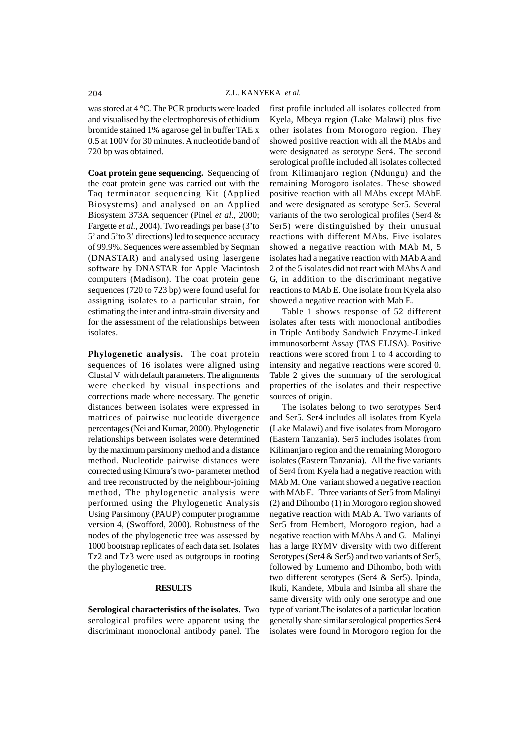was stored at 4 °C. The PCR products were loaded and visualised by the electrophoresis of ethidium bromide stained 1% agarose gel in buffer TAE x 0.5 at 100V for 30 minutes. A nucleotide band of 720 bp was obtained.

**Coat protein gene sequencing.** Sequencing of the coat protein gene was carried out with the Taq terminator sequencing Kit (Applied Biosystems) and analysed on an Applied Biosystem 373A sequencer (Pinel *et al*., 2000; Fargette *et al.*, 2004). Two readings per base (3'to 5' and 5'to 3' directions) led to sequence accuracy of 99.9%. Sequences were assembled by Seqman (DNASTAR) and analysed using lasergene software by DNASTAR for Apple Macintosh computers (Madison). The coat protein gene sequences (720 to 723 bp) were found useful for assigning isolates to a particular strain, for estimating the inter and intra-strain diversity and for the assessment of the relationships between isolates.

**Phylogenetic analysis.** The coat protein sequences of 16 isolates were aligned using Clustal V with default parameters. The alignments were checked by visual inspections and corrections made where necessary. The genetic distances between isolates were expressed in matrices of pairwise nucleotide divergence percentages (Nei and Kumar, 2000). Phylogenetic relationships between isolates were determined by the maximum parsimony method and a distance method. Nucleotide pairwise distances were corrected using Kimura's two- parameter method and tree reconstructed by the neighbour-joining method, The phylogenetic analysis were performed using the Phylogenetic Analysis Using Parsimony (PAUP) computer programme version 4, (Swofford, 2000). Robustness of the nodes of the phylogenetic tree was assessed by 1000 bootstrap replicates of each data set. Isolates Tz2 and Tz3 were used as outgroups in rooting the phylogenetic tree.

## **RESULTS**

**Serological characteristics of the isolates.** Two serological profiles were apparent using the discriminant monoclonal antibody panel. The first profile included all isolates collected from Kyela, Mbeya region (Lake Malawi) plus five other isolates from Morogoro region. They showed positive reaction with all the MAbs and were designated as serotype Ser4. The second serological profile included all isolates collected from Kilimanjaro region (Ndungu) and the remaining Morogoro isolates. These showed positive reaction with all MAbs except MAbE and were designated as serotype Ser5. Several variants of the two serological profiles (Ser4 & Ser5) were distinguished by their unusual reactions with different MAbs. Five isolates showed a negative reaction with MAb M, 5 isolates had a negative reaction with MAb A and 2 of the 5 isolates did not react with MAbs A and G, in addition to the discriminant negative reactions to MAb E. One isolate from Kyela also showed a negative reaction with Mab E.

Table 1 shows response of 52 different isolates after tests with monoclonal antibodies in Triple Antibody Sandwich Enzyme-Linked immunosorbernt Assay (TAS ELISA). Positive reactions were scored from 1 to 4 according to intensity and negative reactions were scored 0. Table 2 gives the summary of the serological properties of the isolates and their respective sources of origin.

The isolates belong to two serotypes Ser4 and Ser5. Ser4 includes all isolates from Kyela (Lake Malawi) and five isolates from Morogoro (Eastern Tanzania). Ser5 includes isolates from Kilimanjaro region and the remaining Morogoro isolates (Eastern Tanzania). All the five variants of Ser4 from Kyela had a negative reaction with MAb M. One variant showed a negative reaction with MAb E. Three variants of Ser5 from Malinyi (2) and Dihombo (1) in Morogoro region showed negative reaction with MAb A. Two variants of Ser5 from Hembert, Morogoro region, had a negative reaction with MAbs A and G. Malinyi has a large RYMV diversity with two different Serotypes (Ser4 & Ser5) and two variants of Ser5, followed by Lumemo and Dihombo, both with two different serotypes (Ser4 & Ser5). Ipinda, Ikuli, Kandete, Mbula and Isimba all share the same diversity with only one serotype and one type of variant.The isolates of a particular location generally share similar serological properties Ser4 isolates were found in Morogoro region for the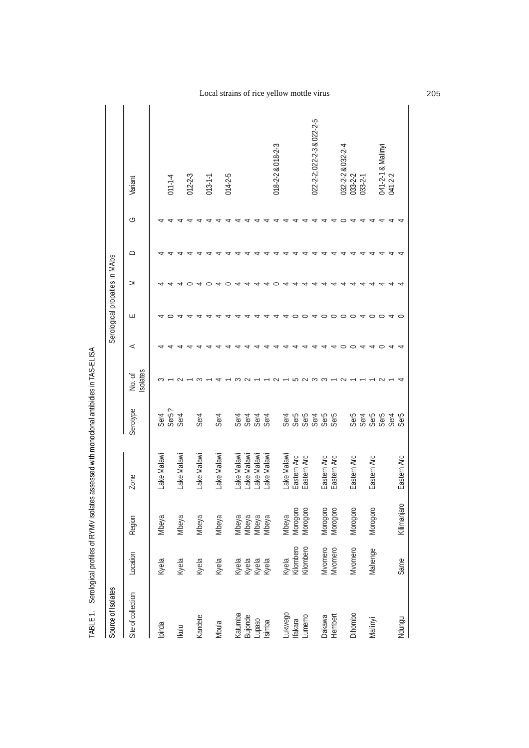| Source of Isolates |                                  |                                  |             |                                   |                    |         | Serological propaties in MAbs |   |           |   |                            |
|--------------------|----------------------------------|----------------------------------|-------------|-----------------------------------|--------------------|---------|-------------------------------|---|-----------|---|----------------------------|
| Site of collection | Location                         | Region                           | Zone        | Serotype                          | Isolates<br>No. of | $\prec$ | ш                             | Σ | $\supset$ | G | Variant                    |
| Ipinda             | Kyela                            | Mbeya                            | Lake Malawi |                                   |                    |         |                               |   |           |   |                            |
|                    |                                  |                                  |             | Ser4<br>Ser5?<br>Ser4             |                    |         |                               |   |           |   | $011 - 1 - 4$              |
| Ikulu              | Kyela                            | Mbeya                            | Lake Malawi |                                   |                    |         |                               |   |           |   |                            |
|                    |                                  |                                  |             |                                   |                    |         |                               |   |           |   | $012 - 2 - 3$              |
| Kandete            | Kyela                            | Mbeya                            | Lake Malawi | Ser4                              |                    |         |                               |   |           |   |                            |
|                    |                                  |                                  |             |                                   |                    |         |                               |   |           |   | $013 - 1 - 1$              |
| Mbula              | Kyela                            | Mbeya                            | Lake Malawi | Ser4                              |                    |         |                               |   |           |   |                            |
|                    |                                  |                                  |             |                                   |                    |         |                               |   |           |   | $014 - 2 - 5$              |
| Katumba            |                                  |                                  | ake Malawi  |                                   |                    |         |                               |   |           |   |                            |
| Bujonde            | Kyela<br>Kyela<br>Kyela<br>Kyela | Mbeya<br>Mbeya<br>Mbeya<br>Mbeya | ake Malawi  | <b>Set 3<br/>Set 3<br/>Set 4</b>  |                    |         |                               |   |           |   |                            |
|                    |                                  |                                  | ake Malawi  |                                   |                    |         |                               |   |           |   |                            |
| Lupaso<br>Isimba   |                                  |                                  | ake Malawi  |                                   |                    |         |                               |   |           |   |                            |
|                    |                                  |                                  |             |                                   |                    |         |                               |   |           |   | 018-2-2 & 018-2-3          |
| Lukwego            |                                  | Mbeya                            | ake Malawi  |                                   |                    |         |                               |   |           |   |                            |
| <b>Ifakara</b>     | Kyela<br>Kilombero               | Morogoro<br>Morogoro             | Eastern Arc | <b>PESSES</b><br>PESSES<br>PESSES |                    |         |                               |   |           |   |                            |
| Lumemo             | Kilombero                        |                                  | Eastern Arc |                                   |                    |         |                               |   |           |   |                            |
|                    |                                  |                                  |             |                                   |                    |         |                               |   |           |   | 022-2-2; 022-2-3 & 022-2-5 |
| Dakawa             | Mvomero                          | Morogoro                         | Eastern Arc |                                   |                    |         |                               |   |           |   |                            |
| Hembert            | Mvomero                          | Morogoro                         | Eastern Arc |                                   |                    |         |                               |   |           |   |                            |
|                    |                                  |                                  |             |                                   |                    |         |                               |   |           |   | 032-2-2 & 032-2-4          |
| Dihombo            | Mvomero                          | Morogoro                         | Eastern Arc |                                   |                    |         |                               |   |           |   | 033-2-2                    |
|                    |                                  |                                  |             |                                   |                    |         | ⇆                             |   |           |   | $033 - 2 - 1$              |
| Malinyi            | Mahenge                          | Morogoro                         | Eastern Arc |                                   |                    |         | $\circ$ $\circ$               |   |           |   |                            |
|                    |                                  |                                  |             | comment<br>comments<br>comments   |                    |         |                               |   |           |   | 041-2-1 & Malinyi          |
|                    |                                  |                                  |             |                                   |                    |         | ᆉ                             |   |           |   | 041-2-2                    |
| Ndungu             | Same                             | Kilimanjaro                      | Eastern Arc |                                   |                    |         |                               |   |           |   |                            |

TABLE 1. Serological profiles of RYMV isolates assessed with monoclonal antibidies in TAS-ELISA TABLE 1. Serological profiles of RYMV isolates assessed with monoclonal antibidies in TAS-ELISA

Local strains of rice yellow mottle virus 205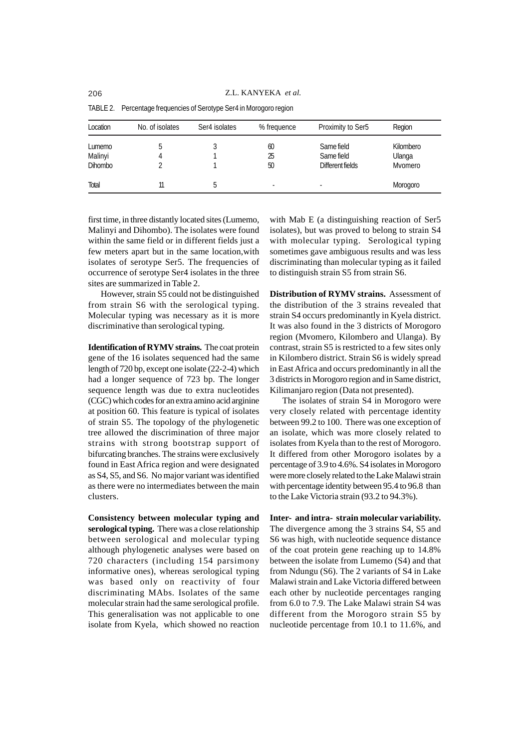| Location       | No. of isolates | Ser4 isolates | % frequence              | Proximity to Ser5 | Region    |
|----------------|-----------------|---------------|--------------------------|-------------------|-----------|
| Lumemo         | b.              |               | 60                       | Same field        | Kilombero |
| Malinyi        |                 |               | 25                       | Same field        | Ulanga    |
| <b>Dihombo</b> |                 |               | 50                       | Different fields  | Mvomero   |
| Total          | 11              |               | $\overline{\phantom{a}}$ | ٠                 | Morogoro  |

TABLE 2. Percentage frequencies of Serotype Ser4 in Morogoro region

first time, in three distantly located sites (Lumemo, Malinyi and Dihombo). The isolates were found within the same field or in different fields just a few meters apart but in the same location,with isolates of serotype Ser5. The frequencies of occurrence of serotype Ser4 isolates in the three sites are summarized in Table 2.

However, strain S5 could not be distinguished from strain S6 with the serological typing. Molecular typing was necessary as it is more discriminative than serological typing.

**Identification of RYMV strains.** The coat protein gene of the 16 isolates sequenced had the same length of 720 bp, except one isolate (22-2-4) which had a longer sequence of 723 bp. The longer sequence length was due to extra nucleotides (CGC) which codes for an extra amino acid arginine at position 60. This feature is typical of isolates of strain S5. The topology of the phylogenetic tree allowed the discrimination of three major strains with strong bootstrap support of bifurcating branches. The strains were exclusively found in East Africa region and were designated as S4, S5, and S6. No major variant was identified as there were no intermediates between the main clusters.

**Consistency between molecular typing and serological typing.** There was a close relationship between serological and molecular typing although phylogenetic analyses were based on 720 characters (including 154 parsimony informative ones), whereas serological typing was based only on reactivity of four discriminating MAbs. Isolates of the same molecular strain had the same serological profile. This generalisation was not applicable to one isolate from Kyela, which showed no reaction

with Mab E (a distinguishing reaction of Ser5 isolates), but was proved to belong to strain S4 with molecular typing. Serological typing sometimes gave ambiguous results and was less discriminating than molecular typing as it failed to distinguish strain S5 from strain S6.

**Distribution of RYMV strains.** Assessment of the distribution of the 3 strains revealed that strain S4 occurs predominantly in Kyela district. It was also found in the 3 districts of Morogoro region (Mvomero, Kilombero and Ulanga). By contrast, strain S5 is restricted to a few sites only in Kilombero district. Strain S6 is widely spread in East Africa and occurs predominantly in all the 3 districts in Morogoro region and in Same district, Kilimanjaro region (Data not presented).

The isolates of strain S4 in Morogoro were very closely related with percentage identity between 99.2 to 100. There was one exception of an isolate, which was more closely related to isolates from Kyela than to the rest of Morogoro. It differed from other Morogoro isolates by a percentage of 3.9 to 4.6%. S4 isolates in Morogoro were more closely related to the Lake Malawi strain with percentage identity between 95.4 to 96.8 than to the Lake Victoria strain (93.2 to 94.3%).

**Inter- and intra- strain molecular variability.** The divergence among the 3 strains S4, S5 and S6 was high, with nucleotide sequence distance of the coat protein gene reaching up to 14.8% between the isolate from Lumemo (S4) and that from Ndungu (S6). The 2 variants of S4 in Lake Malawi strain and Lake Victoria differed between each other by nucleotide percentages ranging from 6.0 to 7.9. The Lake Malawi strain S4 was different from the Morogoro strain S5 by nucleotide percentage from 10.1 to 11.6%, and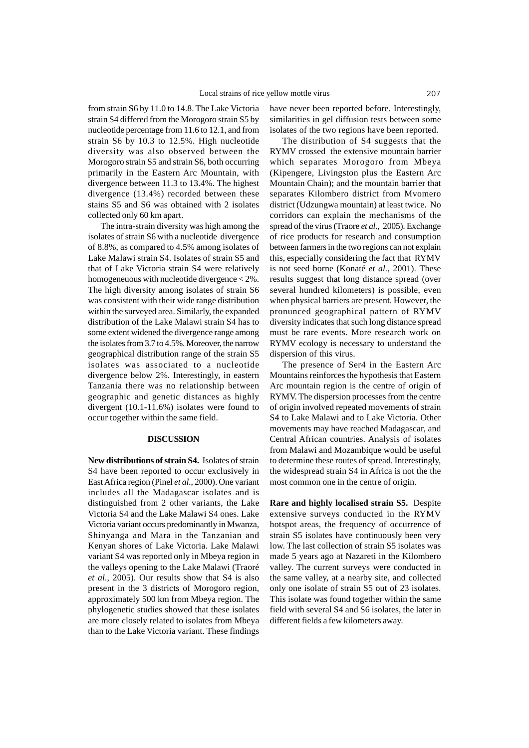from strain S6 by 11.0 to 14.8. The Lake Victoria strain S4 differed from the Morogoro strain S5 by nucleotide percentage from 11.6 to 12.1, and from strain S6 by 10.3 to 12.5%. High nucleotide diversity was also observed between the Morogoro strain S5 and strain S6, both occurring primarily in the Eastern Arc Mountain, with divergence between 11.3 to 13.4%. The highest divergence (13.4%) recorded between these stains S5 and S6 was obtained with 2 isolates collected only 60 km apart.

The intra-strain diversity was high among the isolates of strain S6 with a nucleotide divergence of 8.8%, as compared to 4.5% among isolates of Lake Malawi strain S4. Isolates of strain S5 and that of Lake Victoria strain S4 were relatively homogeneuous with nucleotide divergence < 2%. The high diversity among isolates of strain S6 was consistent with their wide range distribution within the surveyed area. Similarly, the expanded distribution of the Lake Malawi strain S4 has to some extent widened the divergence range among the isolates from 3.7 to 4.5%. Moreover, the narrow geographical distribution range of the strain S5 isolates was associated to a nucleotide divergence below 2%. Interestingly, in eastern Tanzania there was no relationship between geographic and genetic distances as highly divergent (10.1-11.6%) isolates were found to occur together within the same field.

#### **DISCUSSION**

**New distributions of strain S4.** Isolates of strain S4 have been reported to occur exclusively in East Africa region (Pinel *et al.*, 2000). One variant includes all the Madagascar isolates and is distinguished from 2 other variants, the Lake Victoria S4 and the Lake Malawi S4 ones. Lake Victoria variant occurs predominantly in Mwanza, Shinyanga and Mara in the Tanzanian and Kenyan shores of Lake Victoria. Lake Malawi variant S4 was reported only in Mbeya region in the valleys opening to the Lake Malawi (Traoré *et al.*, 2005). Our results show that S4 is also present in the 3 districts of Morogoro region, approximately 500 km from Mbeya region. The phylogenetic studies showed that these isolates are more closely related to isolates from Mbeya than to the Lake Victoria variant. These findings

have never been reported before. Interestingly, similarities in gel diffusion tests between some isolates of the two regions have been reported.

The distribution of S4 suggests that the RYMV crossed the extensive mountain barrier which separates Morogoro from Mbeya (Kipengere, Livingston plus the Eastern Arc Mountain Chain); and the mountain barrier that separates Kilombero district from Mvomero district (Udzungwa mountain) at least twice. No corridors can explain the mechanisms of the spread of the virus (Traore *et al.*, 2005). Exchange of rice products for research and consumption between farmers in the two regions can not explain this, especially considering the fact that RYMV is not seed borne (Konaté *et al.*, 2001). These results suggest that long distance spread (over several hundred kilometers) is possible, even when physical barriers are present. However, the pronunced geographical pattern of RYMV diversity indicates that such long distance spread must be rare events. More research work on RYMV ecology is necessary to understand the dispersion of this virus.

The presence of Ser4 in the Eastern Arc Mountains reinforces the hypothesis that Eastern Arc mountain region is the centre of origin of RYMV. The dispersion processes from the centre of origin involved repeated movements of strain S4 to Lake Malawi and to Lake Victoria. Other movements may have reached Madagascar, and Central African countries. Analysis of isolates from Malawi and Mozambique would be useful to determine these routes of spread. Interestingly, the widespread strain S4 in Africa is not the the most common one in the centre of origin.

**Rare and highly localised strain S5.** Despite extensive surveys conducted in the RYMV hotspot areas, the frequency of occurrence of strain S5 isolates have continuously been very low. The last collection of strain S5 isolates was made 5 years ago at Nazareti in the Kilombero valley. The current surveys were conducted in the same valley, at a nearby site, and collected only one isolate of strain S5 out of 23 isolates. This isolate was found together within the same field with several S4 and S6 isolates, the later in different fields a few kilometers away.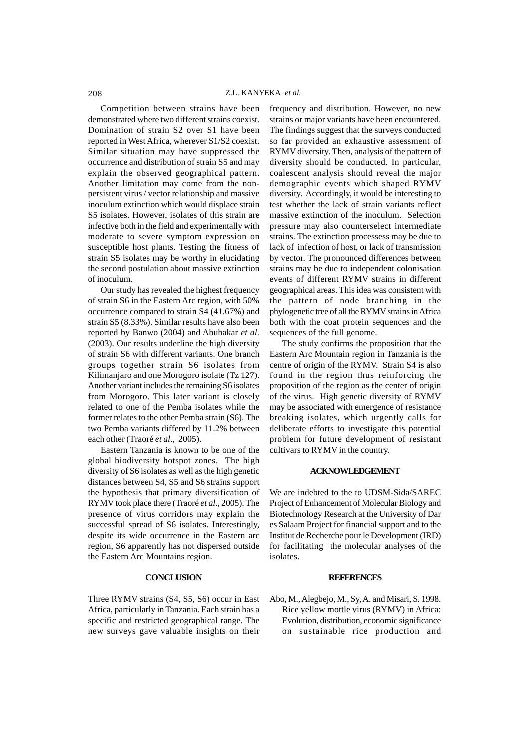Competition between strains have been demonstrated where two different strains coexist. Domination of strain S2 over S1 have been reported in West Africa, wherever S1/S2 coexist. Similar situation may have suppressed the occurrence and distribution of strain S5 and may explain the observed geographical pattern. Another limitation may come from the nonpersistent virus / vector relationship and massive inoculum extinction which would displace strain S5 isolates. However, isolates of this strain are infective both in the field and experimentally with moderate to severe symptom expression on susceptible host plants. Testing the fitness of strain S5 isolates may be worthy in elucidating the second postulation about massive extinction of inoculum.

Our study has revealed the highest frequency of strain S6 in the Eastern Arc region, with 50% occurrence compared to strain S4 (41.67%) and strain S5 (8.33%). Similar results have also been reported by Banwo (2004) and Abubakar *et al*. (2003). Our results underline the high diversity of strain S6 with different variants. One branch groups together strain S6 isolates from Kilimanjaro and one Morogoro isolate (Tz 127). Another variant includes the remaining S6 isolates from Morogoro. This later variant is closely related to one of the Pemba isolates while the former relates to the other Pemba strain (S6). The two Pemba variants differed by 11.2% between each other (Traoré *et al*., 2005).

Eastern Tanzania is known to be one of the global biodiversity hotspot zones. The high diversity of S6 isolates as well as the high genetic distances between S4, S5 and S6 strains support the hypothesis that primary diversification of RYMV took place there (Traoré *et al*., 2005). The presence of virus corridors may explain the successful spread of S6 isolates. Interestingly, despite its wide occurrence in the Eastern arc region, S6 apparently has not dispersed outside the Eastern Arc Mountains region.

## **CONCLUSION**

Three RYMV strains (S4, S5, S6) occur in East Africa, particularly in Tanzania. Each strain has a specific and restricted geographical range. The new surveys gave valuable insights on their frequency and distribution. However, no new strains or major variants have been encountered. The findings suggest that the surveys conducted so far provided an exhaustive assessment of RYMV diversity. Then, analysis of the pattern of diversity should be conducted. In particular, coalescent analysis should reveal the major demographic events which shaped RYMV diversity. Accordingly, it would be interesting to test whether the lack of strain variants reflect massive extinction of the inoculum. Selection pressure may also counterselect intermediate strains. The extinction processess may be due to lack of infection of host, or lack of transmission by vector. The pronounced differences between strains may be due to independent colonisation events of different RYMV strains in different geographical areas. This idea was consistent with the pattern of node branching in the phylogenetic tree of all the RYMV strains in Africa both with the coat protein sequences and the sequences of the full genome.

The study confirms the proposition that the Eastern Arc Mountain region in Tanzania is the centre of origin of the RYMV. Strain S4 is also found in the region thus reinforcing the proposition of the region as the center of origin of the virus. High genetic diversity of RYMV may be associated with emergence of resistance breaking isolates, which urgently calls for deliberate efforts to investigate this potential problem for future development of resistant cultivars to RYMV in the country.

## **ACKNOWLEDGEMENT**

We are indebted to the to UDSM-Sida/SAREC Project of Enhancement of Molecular Biology and Biotechnology Research at the University of Dar es Salaam Project for financial support and to the Institut de Recherche pour le Development (IRD) for facilitating the molecular analyses of the isolates.

#### **REFERENCES**

Abo, M., Alegbejo, M., Sy, A. and Misari, S. 1998. Rice yellow mottle virus (RYMV) in Africa: Evolution, distribution, economic significance on sustainable rice production and